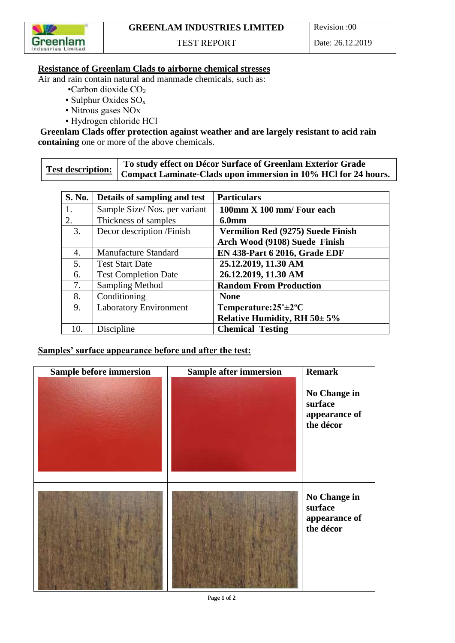

## **Resistance of Greenlam Clads to airborne chemical stresses**

Air and rain contain natural and manmade chemicals, such as:

- $\cdot$ Carbon dioxide CO<sub>2</sub>
- Sulphur Oxides SO<sup>x</sup>
- Nitrous gases NOx
- Hydrogen chloride HCl

**Greenlam Clads offer protection against weather and are largely resistant to acid rain containing** one or more of the above chemicals.

|  | To study effect on Décor Surface of Greenlam Exterior Grade                     |
|--|---------------------------------------------------------------------------------|
|  | Test description: Compact Laminate-Clads upon immersion in 10% HCl for 24 hours |

| S. No. | Details of sampling and test  | <b>Particulars</b>                        |
|--------|-------------------------------|-------------------------------------------|
| 1.     | Sample Size/Nos. per variant  | 100mm X 100 mm/ Four each                 |
| 2.     | Thickness of samples          | 6.0 <sub>mm</sub>                         |
| 3.     | Decor description /Finish     | <b>Vermilion Red (9275) Suede Finish</b>  |
|        |                               | Arch Wood (9108) Suede Finish             |
| 4.     | Manufacture Standard          | <b>EN 438-Part 6 2016, Grade EDF</b>      |
| 5.     | <b>Test Start Date</b>        | 25.12.2019, 11.30 AM                      |
| 6.     | <b>Test Completion Date</b>   | 26.12.2019, 11.30 AM                      |
| 7.     | <b>Sampling Method</b>        | <b>Random From Production</b>             |
| 8.     | Conditioning                  | <b>None</b>                               |
| 9.     | <b>Laboratory Environment</b> | Temperature: $25^{\circ} \pm 2^{\circ}$ C |
|        |                               | Relative Humidity, RH $50 \pm 5\%$        |
| 10.    | Discipline                    | <b>Chemical Testing</b>                   |

## **Samples' surface appearance before and after the test:**

| Sample before immersion | <b>Sample after immersion</b> | <b>Remark</b>                                         |
|-------------------------|-------------------------------|-------------------------------------------------------|
|                         |                               | No Change in<br>surface<br>appearance of<br>the décor |
|                         |                               | No Change in<br>surface<br>appearance of<br>the décor |